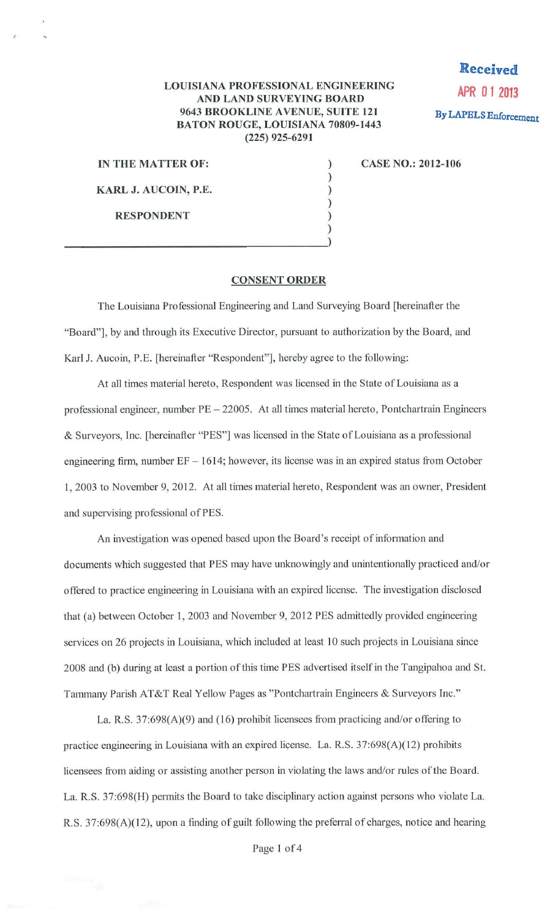## **LOUISIANA PROFESSIONAL ENGINEERING AND LAND SURVEYING BOARD 9643 BROOKLINE A VENUE, SUITE 121 BATON ROUGE, LOUISIANA 70809-1443 (225) 925-6291**

) ) ) )

**Received APR 01 2013 By LAPELS Enforcement** 

**IN THE MATTER OF:** )

..

**KARL J. AUCOIN, P.E.** 

**RESPONDENT** 

) and the contract of the contract of  $\overrightarrow{y}$ 

**CASE NO.: 2012-106** 

## **CONSENT ORDER**

The Louisiana Professional Engineering and Land Surveying Board [hereinafter the "Board"], by and through its Executive Director, pursuant to authorization by the Board, and Karl J. Aucoin, P.E. [hereinafter "Respondent"], hereby agree to the following:

At all times material hereto, Respondent was licensed in the State of Louisiana as a professional engineer, number PE - 22005. At all times material hereto, Pontchartrain Engineers & Surveyors, Inc. [hereinafter "PES"] was licensed in the State of Louisiana as a professional engineering firm, number  $EF - 1614$ ; however, its license was in an expired status from October **1,** 2003 to November 9, 2012. At all times material hereto, Respondent was an owner, President and supervising professional of PES.

An investigation was opened based upon the Board's receipt of information and documents which suggested that PES may have unknowingly and unintentionally practiced and/or offered to practice engineering in Louisiana with an expired license. The investigation disclosed that (a) between October 1, 2003 and November 9, 2012 PES admittedly provided engineering services on 26 projects in Louisiana, which included at least 10 such projects in Louisiana since 2008 and (b) during at least a portion of this time PES advertised itself in the Tangipahoa and St. Tammany Parish AT&T Real Yellow Pages as "Pontchartrain Engineers & Surveyors Inc."

La. R.S.  $37:698(A)(9)$  and (16) prohibit licensees from practicing and/or offering to practice engineering in Louisiana with an expired license. La. R.S. 37:698(A)(12) prohibits licensees from aiding or assisting another person in violating the laws and/or rules of the Board. La. R.S. 37:698(H) permits the Board to take disciplinary action against persons who violate La. R.S. 37:698(A)(l2), upon a finding of guilt following the preferral of charges, notice and hearing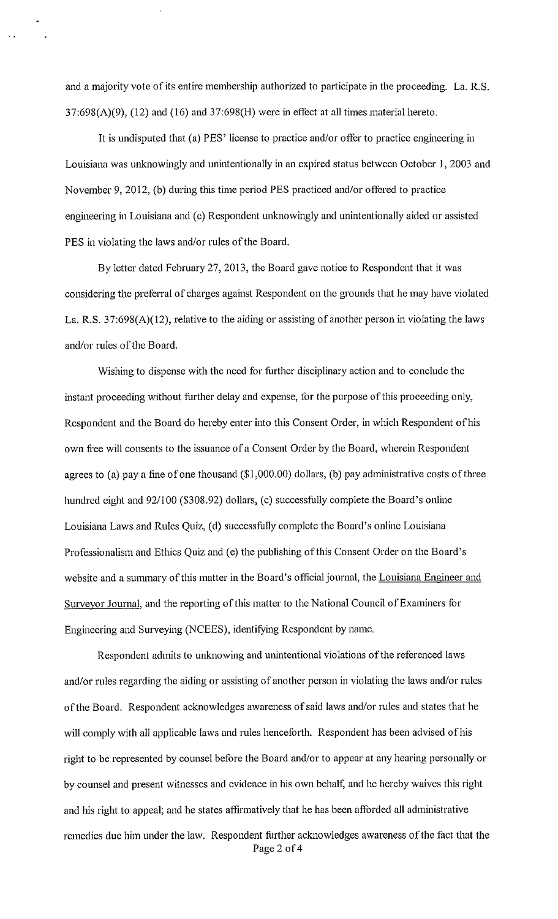and a majority vote of its entire membership authorized to participate in the proceeding. La. R.S.  $37:698(A)(9)$ ,  $(12)$  and  $(16)$  and  $37:698(H)$  were in effect at all times material hereto.

It is undisputed that (a) PES' license to practice and/or offer to practice engineering in Louisiana was unknowingly and unintentionally in an expired status between October I, 2003 and November 9, 2012, (b) during this time period PES practiced and/or offered to practice engineering in Louisiana and (c) Respondent unknowingly and unintentionally aided or assisted PES in violating the laws and/or rules of the Board.

By letter dated February 27, 2013, the Board gave notice to Respondent that it was considering the preterral of charges against Respondent on the grounds that he may have violated La. R.S. 37:698(A)(12), relative to the aiding or assisting of another person in violating the laws and/or rules of the Board.

Wishing to dispense with the need for further disciplinary action and to conclude the instant proceeding without further delay and expense, for the purpose of this proceeding only, Respondent and the Board do hereby enter into this Consent Order, in which Respondent of his own free will consents to the issuance of a Consent Order by the Board, wherein Respondent agrees to (a) pay a fine of one thousand (\$1 ,000.00) dollars, (b) pay administrative costs of three hundred eight and 92/100 (\$308.92) dollars, (c) successfully complete the Board's online Louisiana Laws and Rules Quiz, (d) successfully complete the Board's online Louisiana Professionalism and Ethics Quiz and (e) the publishing of this Consent Order on the Board's website and a summary of this matter in the Board's official journal, the Louisiana Engineer and Surveyor Journal, and the reporting of this matter to the National Council of Examiners for Engineering and Surveying (NCEES), identifying Respondent by name.

Respondent admits to unknowing and unintentional violations of the referenced laws and/or rules regarding the aiding or assisting of another person in violating the laws and/or rules of the Board. Respondent acknowledges awareness of said laws and/or rules and states that he will comply with all applicable laws and rules henceforth. Respondent has been advised of his right to be represented by counsel before the Board and/or to appear at any hearing personally or by counsel and present witnesses and evidence in his own behalf, and he hereby waives this right and his right to appeal; and he states affirmatively that he has been afforded all administrative remedies due him under the law. Respondent further acknowledges awareness of the fact that the Page 2 of 4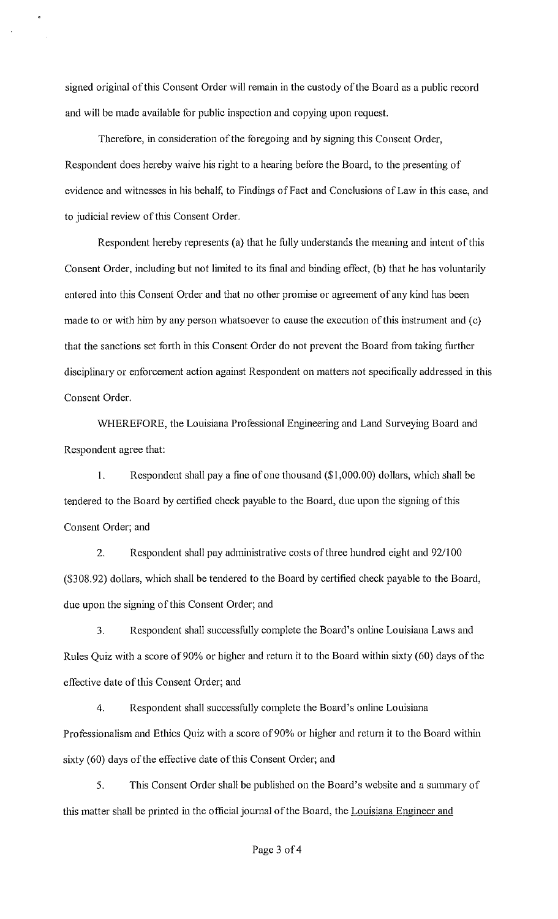signed original of this Consent Order will remain in the custody of the Board as a public record and will be made available for public inspection and copying upon request.

Therefore, in consideration of the foregoing and by signing this Consent Order, Respondent does hereby waive his right to a hearing before the Board, to the presenting of evidence and witnesses in his behalf, to Findings of Fact and Conclusions of Law in this case, and to judicial review of this Consent Order.

Respondent hereby represents (a) that he fully understands the meaning and intent of this Consent Order, including but not limited to its final and binding effect, (b) that he has voluntarily entered into this Consent Order and that no other promise or agreement of any kind has been made to or with him by any person whatsoever to cause the execution of this instrument and (c) that the sanctions set forth in this Consent Order do not prevent the Board from taking further disciplinary or enforcement action against Respondent on matters not specifically addressed in this Consent Order.

WHEREFORE, the Louisiana Professional Engineering and Land Surveying Board and Respondent agree that:

I. Respondent shall pay a fine of one thousand (\$1 ,000.00) dollars, which shall be tendered to the Board by certified check payable to the Board, due upon the signing of this Consent Order; and

2. Respondent shall pay administrative costs of three hundred eight and 92/100 (\$308.92) dollars, which shall be tendered to the Board by certified check payable to the Board, due upon the signing of this Consent Order; and

3. Respondent shall successfully complete the Board's online Louisiana Laws and Rules Quiz with a score of 90% or higher and return it to the Board within sixty (60) days of the effective date of this Consent Order; and

4. Respondent shall successfully complete the Board's online Louisiana Professionalism and Ethics Quiz with a score of 90% or higher and return it to the Board within sixty (60) days of the effective date of this Consent Order; and

5. This Consent Order shall be published on the Board's website and a summary of this matter shall be printed in the official journal of the Board, the Louisiana Engineer and